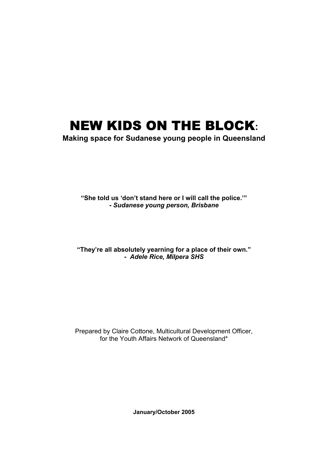# NEW KIDS ON THE BLOCK**:**

**Making space for Sudanese young people in Queensland** 

**"She told us 'don't stand here or I will call the police.'" -** *Sudanese young person, Brisbane*

**"They're all absolutely yearning for a place of their own." -** *Adele Rice, Milpera SHS* 

Prepared by Claire Cottone, Multicultural Development Officer, for the Youth Affairs Network of Queensland\*

**January/October 2005**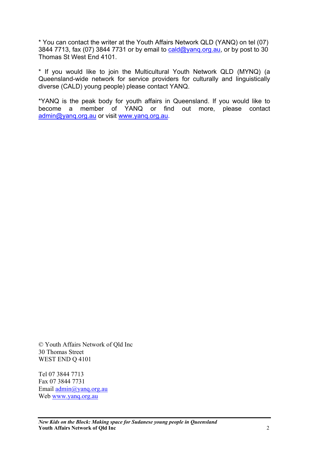\* You can contact the writer at the Youth Affairs Network QLD (YANQ) on tel (07) 3844 7713, fax (07) 3844 7731 or by email to [cald@yanq.org.au](mailto:cald@yanq.org.au), or by post to 30 Thomas St West End 4101.

\* If you would like to join the Multicultural Youth Network QLD (MYNQ) (a Queensland-wide network for service providers for culturally and linguistically diverse (CALD) young people) please contact YANQ.

\*YANQ is the peak body for youth affairs in Queensland. If you would like to become a member of YANQ or find out more, please contact [admin@yanq.org.au](mailto:admin@yanq.org.au) or visit [www.yanq.org.au](http://www.yanq.org.au/).

© Youth Affairs Network of Qld Inc 30 Thomas Street WEST END Q 4101

Tel 07 3844 7713 Fax 07 3844 7731 Email [admin@yanq.org.au](mailto:admin@yanq.org.au) Web [www.yanq.org.au](http://www.yanq.org.au/)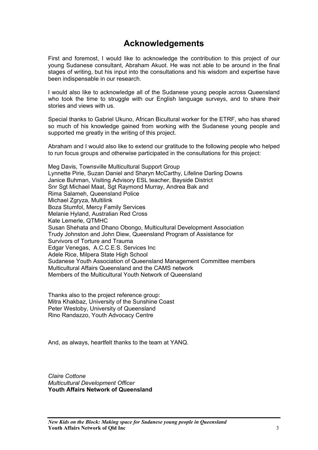# **Acknowledgements**

First and foremost, I would like to acknowledge the contribution to this project of our young Sudanese consultant, Abraham Akuot. He was not able to be around in the final stages of writing, but his input into the consultations and his wisdom and expertise have been indispensable in our research.

I would also like to acknowledge all of the Sudanese young people across Queensland who took the time to struggle with our English language surveys, and to share their stories and views with us.

Special thanks to Gabriel Ukuno, African Bicultural worker for the ETRF, who has shared so much of his knowledge gained from working with the Sudanese young people and supported me greatly in the writing of this project.

Abraham and I would also like to extend our gratitude to the following people who helped to run focus groups and otherwise participated in the consultations for this project:

Meg Davis, Townsville Multicultural Support Group Lynnette Pirie, Suzan Daniel and Sharyn McCarthy, Lifeline Darling Downs Janice Buhman, Visiting Advisory ESL teacher, Bayside District Snr Sgt Michael Maat, Sgt Raymond Murray, Andrea Bak and Rima Salameh, Queensland Police Michael Zgryza, Multilink Boza Stumfol, Mercy Family Services Melanie Hyland, Australian Red Cross Kate Lemerle, QTMHC Susan Shehata and Dhano Obongo, Multicultural Development Association Trudy Johnston and John Diew, Queensland Program of Assistance for Survivors of Torture and Trauma Edgar Venegas, A.C.C.E.S. Services Inc Adele Rice, Milpera State High School Sudanese Youth Association of Queensland Management Committee members Multicultural Affairs Queensland and the CAMS network Members of the Multicultural Youth Network of Queensland

Thanks also to the project reference group: Mitra Khakbaz, University of the Sunshine Coast Peter Westoby, University of Queensland Rino Randazzo, Youth Advocacy Centre

And, as always, heartfelt thanks to the team at YANQ.

*Claire Cottone Multicultural Development Officer*  **Youth Affairs Network of Queensland**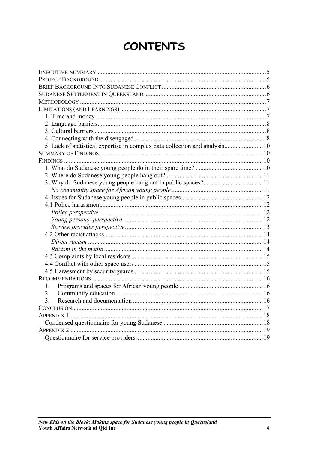# **CONTENTS**

| 5. Lack of statistical expertise in complex data collection and analysis 10 |  |
|-----------------------------------------------------------------------------|--|
|                                                                             |  |
|                                                                             |  |
|                                                                             |  |
|                                                                             |  |
|                                                                             |  |
|                                                                             |  |
|                                                                             |  |
|                                                                             |  |
|                                                                             |  |
|                                                                             |  |
|                                                                             |  |
|                                                                             |  |
|                                                                             |  |
|                                                                             |  |
|                                                                             |  |
|                                                                             |  |
|                                                                             |  |
|                                                                             |  |
| 1.                                                                          |  |
| 2.                                                                          |  |
| 3.                                                                          |  |
|                                                                             |  |
|                                                                             |  |
|                                                                             |  |
|                                                                             |  |
|                                                                             |  |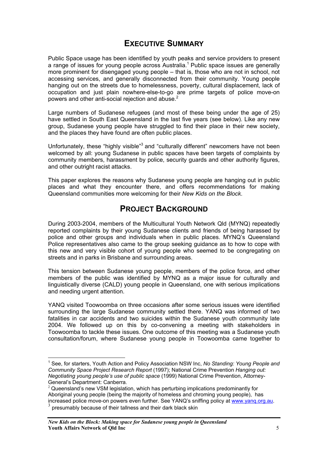# **EXECUTIVE SUMMARY**

<span id="page-4-0"></span>Public Space usage has been identified by youth peaks and service providers to present a range of issues for young people across Australia.<sup>[1](#page-4-1)</sup> Public space issues are generally more prominent for disengaged young people – that is, those who are not in school, not accessing services, and generally disconnected from their community. Young people hanging out on the streets due to homelessness, poverty, cultural displacement, lack of occupation and just plain nowhere-else-to-go are prime targets of police move-on powers and other anti-social rejection and abuse. $2$ 

Large numbers of Sudanese refugees (and most of these being under the age of 25) have settled in South East Queensland in the last five years (see below). Like any new group, Sudanese young people have struggled to find their place in their new society, and the places they have found are often public places.

Unfortunately, these "highly visible"<sup>[3](#page-4-3)</sup> and "culturally different" newcomers have not been welcomed by all: young Sudanese in public spaces have been targets of complaints by community members, harassment by police, security guards and other authority figures, and other outright racist attacks.

This paper explores the reasons why Sudanese young people are hanging out in public places and what they encounter there, and offers recommendations for making Queensland communities more welcoming for their *New Kids on the Block*.

# **PROJECT BACKGROUND**

During 2003-2004, members of the Multicultural Youth Network Qld (MYNQ) repeatedly reported complaints by their young Sudanese clients and friends of being harassed by police and other groups and individuals when in public places. MYNQ's Queensland Police representatives also came to the group seeking guidance as to how to cope with this new and very visible cohort of young people who seemed to be congregating on streets and in parks in Brisbane and surrounding areas.

This tension between Sudanese young people, members of the police force, and other members of the public was identified by MYNQ as a major issue for culturally and linguistically diverse (CALD) young people in Queensland, one with serious implications and needing urgent attention.

YANQ visited Toowoomba on three occasions after some serious issues were identified surrounding the large Sudanese community settled there. YANQ was informed of two fatalities in car accidents and two suicides within the Sudanese youth community late 2004. We followed up on this by co-convening a meeting with stakeholders in Toowoomba to tackle these issues. One outcome of this meeting was a Sudanese youth consultation/forum, where Sudanese young people in Toowoomba came together to

 $\overline{a}$ 

<span id="page-4-1"></span><sup>&</sup>lt;sup>1</sup> See, for starters, Youth Action and Policy Association NSW Inc, No Standing: Young People and *Community Space Project Research Report* (1997); National Crime Prevention *Hanging out: Negotiating young people's use of public space* (1999) National Crime Prevention, Attorney-General's Department: Canberra.<br><sup>2</sup> Queensland's new VSM legislation, which has perturbing implications predominantly for

<span id="page-4-2"></span>Aboriginal young people (being the majority of homeless and chroming young people), has increased police move-on powers even further. See YANQ's sniffing policy at [www.yanq.org.au.](http://www.yanq.org.au/) <sup>3</sup>

<span id="page-4-3"></span>presumably because of their tallness and their dark black skin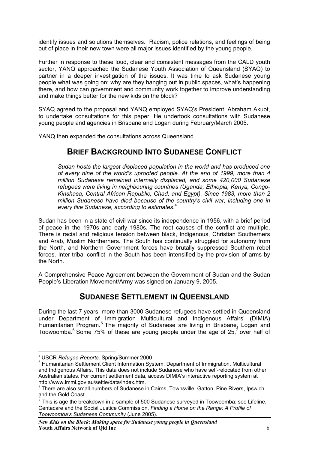<span id="page-5-0"></span>identify issues and solutions themselves. Racism, police relations, and feelings of being out of place in their new town were all major issues identified by the young people.

Further in response to these loud, clear and consistent messages from the CALD youth sector, YANQ approached the Sudanese Youth Association of Queensland (SYAQ) to partner in a deeper investigation of the issues. It was time to ask Sudanese young people what was going on: why are they hanging out in public spaces, what's happening there, and how can government and community work together to improve understanding and make things better for the new kids on the block?

SYAQ agreed to the proposal and YANQ employed SYAQ's President, Abraham Akuot, to undertake consultations for this paper. He undertook consultations with Sudanese young people and agencies in Brisbane and Logan during February/March 2005.

YANQ then expanded the consultations across Queensland.

# **BRIEF BACKGROUND INTO SUDANESE CONFLICT**

*Sudan hosts the largest displaced population in the world and has produced one of every nine of the world's uprooted people. At the end of 1999, more than 4 million Sudanese remained internally displaced, and some 420,000 Sudanese refugees were living in neighbouring countries (Uganda, Ethiopia, Kenya, Congo-Kinshasa, Central African Republic, Chad, and Egypt). Since 1983, more than 2 million Sudanese have died because of the country's civil war, including one in every five Sudanese, according to estimates*. [4](#page-5-1)

Sudan has been in a state of civil war since its independence in 1956, with a brief period of peace in the 1970s and early 1980s. The root causes of the conflict are multiple. There is racial and religious tension between black, Indigenous, Christian Southerners and Arab, Muslim Northerners. The South has continually struggled for autonomy from the North, and Northern Government forces have brutally suppressed Southern rebel forces. Inter-tribal conflict in the South has been intensified by the provision of arms by the North.

A Comprehensive Peace Agreement between the Government of Sudan and the Sudan People's Liberation Movement/Army was signed on January 9, 2005.

# **SUDANESE SETTLEMENT IN QUEENSLAND**

During the last 7 years, more than 3000 Sudanese refugees have settled in Queensland under Department of Immigration Multicultural and Indigenous Affairs' (DIMIA) Humanitarian Program.<sup>[5](#page-5-2)</sup> The majority of Sudanese are living in Brisbane, Logan and Toowoomba.<sup>[6](#page-5-3)</sup>Some 75% of these are young people under the age of 25,<sup>7</sup> over half of

 $\overline{a}$ 

<span id="page-5-1"></span><sup>4</sup> USCR *Refugee Reports,* Spring/Summer 2000

<span id="page-5-2"></span><sup>&</sup>lt;sup>5</sup> Humanitarian Settlement Client Information System, Department of Immigration, Multicultural and Indigenous Affairs. This data does not include Sudanese who have self-relocated from other Australian states. For current settlement data, access DIMIA's interactive reporting system at http://www.immi.gov.au/settle/data/index.htm.<br><sup>6</sup> There are also small numbers of Sudanese in Cairns, Townsville, Gatton, Pine Rivers, Ipswich

<span id="page-5-3"></span>and the Gold Coast.

<span id="page-5-4"></span> $7$  This is age the breakdown in a sample of 500 Sudanese surveyed in Toowoomba: see Lifeline, Centacare and the Social Justice Commission, *Finding a Home on the Range: A Profile of Toowoomba's Sudanese Community* (June 2005).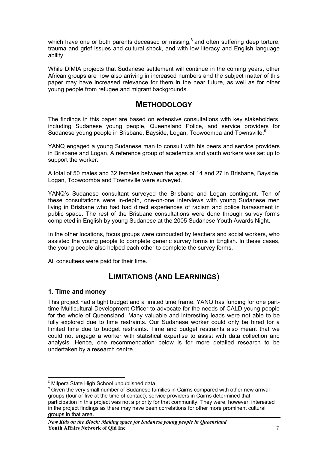<span id="page-6-0"></span>which have one or both parents deceased or missing, $8$  and often suffering deep torture, trauma and grief issues and cultural shock, and with low literacy and English language ability.

While DIMIA projects that Sudanese settlement will continue in the coming years, other African groups are now also arriving in increased numbers and the subject matter of this paper may have increased relevance for them in the near future, as well as for other young people from refugee and migrant backgrounds.

# **METHODOLOGY**

The findings in this paper are based on extensive consultations with key stakeholders, including Sudanese young people, Queensland Police, and service providers for Sudanese young people in Brisbane, Bayside, Logan, Toowoomba and Townsville.<sup>[9](#page-6-2)</sup>

YANQ engaged a young Sudanese man to consult with his peers and service providers in Brisbane and Logan. A reference group of academics and youth workers was set up to support the worker.

A total of 50 males and 32 females between the ages of 14 and 27 in Brisbane, Bayside, Logan, Toowoomba and Townsville were surveyed.

YANQ's Sudanese consultant surveyed the Brisbane and Logan contingent. Ten of these consultations were in-depth, one-on-one interviews with young Sudanese men living in Brisbane who had had direct experiences of racism and police harassment in public space. The rest of the Brisbane consultations were done through survey forms completed in English by young Sudanese at the 2005 Sudanese Youth Awards Night.

In the other locations, focus groups were conducted by teachers and social workers, who assisted the young people to complete generic survey forms in English. In these cases, the young people also helped each other to complete the survey forms.

All consultees were paid for their time.

# **LIMITATIONS (AND LEARNINGS**)

## **1. Time and money**

 $\overline{a}$ 

This project had a tight budget and a limited time frame. YANQ has funding for one parttime Multicultural Development Officer to advocate for the needs of CALD young people for the whole of Queensland. Many valuable and interesting leads were not able to be fully explored due to time restraints. Our Sudanese worker could only be hired for a limited time due to budget restraints. Time and budget restraints also meant that we could not engage a worker with statistical expertise to assist with data collection and analysis. Hence, one recommendation below is for more detailed research to be undertaken by a research centre.

<span id="page-6-1"></span><sup>&</sup>lt;sup>8</sup> Milpera State High School unpublished data.

<span id="page-6-2"></span> $9$  Given the very small number of Sudanese families in Cairns compared with other new arrival groups (four or five at the time of contact), service providers in Cairns determined that participation in this project was not a priority for that community. They were, however, interested in the project findings as there may have been correlations for other more prominent cultural groups in that area.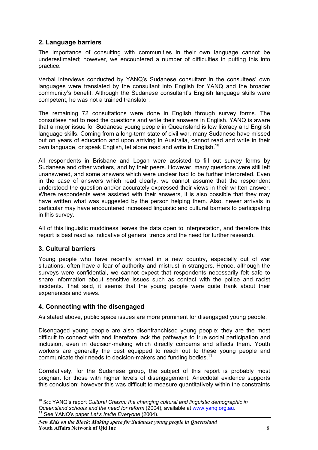## <span id="page-7-0"></span>**2. Language barriers**

The importance of consulting with communities in their own language cannot be underestimated; however, we encountered a number of difficulties in putting this into practice.

Verbal interviews conducted by YANQ's Sudanese consultant in the consultees' own languages were translated by the consultant into English for YANQ and the broader community's benefit. Although the Sudanese consultant's English language skills were competent, he was not a trained translator.

The remaining 72 consultations were done in English through survey forms. The consultees had to read the questions and write their answers in English. YANQ is aware that a major issue for Sudanese young people in Queensland is low literacy and English language skills. Coming from a long-term state of civil war, many Sudanese have missed out on years of education and upon arriving in Australia, cannot read and write in their own language, or speak English, let alone read and write in English.<sup>10</sup>

All respondents in Brisbane and Logan were assisted to fill out survey forms by Sudanese and other workers, and by their peers. However, many questions were still left unanswered, and some answers which were unclear had to be further interpreted. Even in the case of answers which read clearly, we cannot assume that the respondent understood the question and/or accurately expressed their views in their written answer. Where respondents were assisted with their answers, it is also possible that they may have written what was suggested by the person helping them. Also, newer arrivals in particular may have encountered increased linguistic and cultural barriers to participating in this survey.

All of this linguistic muddiness leaves the data open to interpretation, and therefore this report is best read as indicative of general trends and the need for further research.

## **3. Cultural barriers**

 $\overline{a}$ 

Young people who have recently arrived in a new country, especially out of war situations, often have a fear of authority and mistrust in strangers. Hence, although the surveys were confidential, we cannot expect that respondents necessarily felt safe to share information about sensitive issues such as contact with the police and racist incidents. That said, it seems that the young people were quite frank about their experiences and views.

## **4. Connecting with the disengaged**

As stated above, public space issues are more prominent for disengaged young people.

Disengaged young people are also disenfranchised young people: they are the most difficult to connect with and therefore lack the pathways to true social participation and inclusion, even in decision-making which directly concerns and affects them. Youth workers are generally the best equipped to reach out to these young people and communicate their needs to decision-makers and funding bodies.<sup>11</sup>

Correlatively, for the Sudanese group, the subject of this report is probably most poignant for those with higher levels of disengagement. Anecdotal evidence supports this conclusion; however this was difficult to measure quantitatively within the constraints

<span id="page-7-1"></span><sup>&</sup>lt;sup>10</sup> See YANQ's report *Cultural Chasm: the changing cultural and linguistic demographic in Queensland schools and the need for reform* (2004), available at [www.yanq.org.au.](http://www.yanq.org.au/) 11 See YANQ's paper *Let's Invite Everyone* (2004).

<span id="page-7-2"></span>*New Kids on the Block: Making space for Sudanese young people in Queensland*  **Youth Affairs Network of Qld Inc** 8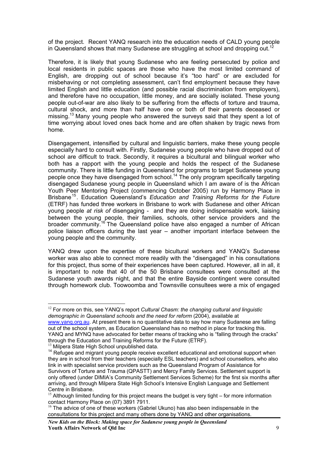of the project. Recent YANQ research into the education needs of CALD young people in Queensland shows that many Sudanese are struggling at school and dropping out.<sup>12</sup>

Therefore, it is likely that young Sudanese who are feeling persecuted by police and local residents in public spaces are those who have the most limited command of English, are dropping out of school because it's "too hard" or are excluded for misbehaving or not completing assessment, can't find employment because they have limited English and little education (and possible racial discrimination from employers), and therefore have no occupation, little money, and are socially isolated. These young people out-of-war are also likely to be suffering from the effects of torture and trauma, cultural shock, and more than half have one or both of their parents deceased or missing.[13](#page-8-1) Many young people who answered the surveys said that they spent a lot of time worrying about loved ones back home and are often shaken by tragic news from home.

Disengagement, intensified by cultural and linguistic barriers, make these young people especially hard to consult with. Firstly, Sudanese young people who have dropped out of school are difficult to track. Secondly, it requires a bicultural and bilingual worker who both has a rapport with the young people and holds the respect of the Sudanese community. There is little funding in Queensland for programs to target Sudanese young people once they have disengaged from school.[14](#page-8-2) The only program specifically targeting disengaged Sudanese young people in Queensland which I am aware of is the African Youth Peer Mentoring Project (commencing October 2005) run by Harmony Place in Brisbane[15.](#page-8-3) Education Queensland's *Education and Training Reforms for the Future* (ETRF) has funded three workers in Brisbane to work with Sudanese and other African young people *at risk of* disengaging - and they are doing indispensable work, liaising between the young people, their families, schools, other service providers and the broader community.<sup>[16](#page-8-4)</sup> The Queensland police have also engaged a number of African police liaison officers during the last year – another important interface between the young people and the community.

YANQ drew upon the expertise of these bicultural workers and YANQ's Sudanese worker was also able to connect more readily with the "disengaged" in his consultations for this project, thus some of their experiences have been captured. However, all in all, it is important to note that 40 of the 50 Brisbane consultees were consulted at the Sudanese youth awards night, and that the entire Bayside contingent were consulted through homework club. Toowoomba and Townsville consultees were a mix of engaged

<span id="page-8-1"></span>

<span id="page-8-0"></span> $\overline{a}$ <sup>12</sup> For more on this, see YANQ's report *Cultural Chasm: the changing cultural and linguistic demographic in Queensland schools and the need for reform* (2004), available at [www.yanq.org.au](http://www.yanq.org.au/). At present there is no quantitative data to say how many Sudanese are falling out of the school system, as Education Queensland has no method in place for tracking this. YANQ and MYNQ have advocated for better means of tracking who is "falling through the cracks" through the Education and Training Reforms for the Future (ETRF).<br><sup>13</sup> Milpera State High School unpublished data.

<span id="page-8-2"></span><sup>&</sup>lt;sup>14</sup> Refugee and migrant young people receive excellent educational and emotional support when they are in school from their teachers (especially ESL teachers) and school counsellors, who also link in with specialist service providers such as the Queensland Program of Assistance for Survivors of Torture and Trauma (QPASTT) and Mercy Family Services. Settlement support is only offered (under DIMIA's Community Settlement Services Scheme) for the first six months after arriving, and through Milpera State High School's Intensive English Language and Settlement Centre in Brisbane.

<span id="page-8-3"></span> $15$  Although limited funding for this project means the budget is very tight – for more information contact Harmony Place on (07) 3891 7911.

<span id="page-8-4"></span> $16$  The advice of one of these workers (Gabriel Ukuno) has also been indispensable in the consultations for this project and many others done by YANQ and other organisations.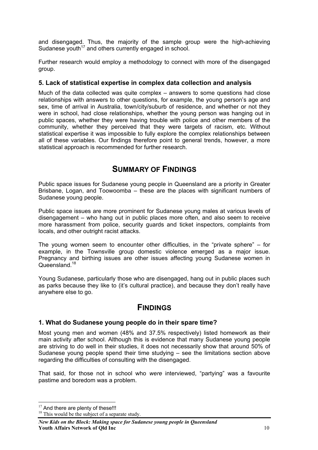<span id="page-9-0"></span>and disengaged. Thus, the majority of the sample group were the high-achieving Sudanese youth<sup>17</sup> and others currently engaged in school.

Further research would employ a methodology to connect with more of the disengaged group.

### **5. Lack of statistical expertise in complex data collection and analysis**

Much of the data collected was quite complex – answers to some questions had close relationships with answers to other questions, for example, the young person's age and sex, time of arrival in Australia, town/city/suburb of residence, and whether or not they were in school, had close relationships, whether the young person was hanging out in public spaces, whether they were having trouble with police and other members of the community, whether they perceived that they were targets of racism, etc. Without statistical expertise it was impossible to fully explore the complex relationships between all of these variables. Our findings therefore point to general trends, however, a more statistical approach is recommended for further research.

# **SUMMARY OF FINDINGS**

Public space issues for Sudanese young people in Queensland are a priority in Greater Brisbane, Logan, and Toowoomba – these are the places with significant numbers of Sudanese young people.

Public space issues are more prominent for Sudanese young males at various levels of disengagement – who hang out in public places more often, and also seem to receive more harassment from police, security guards and ticket inspectors, complaints from locals, and other outright racist attacks.

The young women seem to encounter other difficulties, in the "private sphere" – for example, in the Townsville group domestic violence emerged as a major issue. Pregnancy and birthing issues are other issues affecting young Sudanese women in Queensland.<sup>18</sup>

Young Sudanese, particularly those who are disengaged, hang out in public places such as parks because they like to (it's cultural practice), and because they don't really have anywhere else to go.

# **FINDINGS**

## **1. What do Sudanese young people do in their spare time?**

Most young men and women (48% and 37.5% respectively) listed homework as their main activity after school. Although this is evidence that many Sudanese young people are striving to do well in their studies, it does not necessarily show that around 50% of Sudanese young people spend their time studying – see the limitations section above regarding the difficulties of consulting with the disengaged.

That said, for those not in school who *were* interviewed, "partying" was a favourite pastime and boredom was a problem.

 $\overline{a}$  $17$  And there are plenty of these!!!

<span id="page-9-2"></span><span id="page-9-1"></span> $18$  This would be the subject of a separate study.

*New Kids on the Block: Making space for Sudanese young people in Queensland*  **Youth Affairs Network of Qld Inc** 10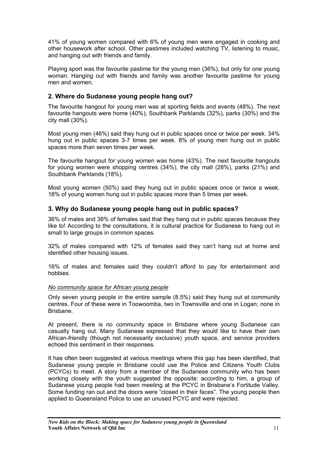<span id="page-10-0"></span>41% of young women compared with 6% of young men were engaged in cooking and other housework after school. Other pastimes included watching TV, listening to music, and hanging out with friends and family.

Playing sport was the favourite pastime for the young men (36%), but only for one young woman. Hanging out with friends and family was another favourite pastime for young men and women.

## **2. Where do Sudanese young people hang out?**

The favourite hangout for young men was at sporting fields and events (48%). The next favourite hangouts were home (40%), Southbank Parklands (32%), parks (30%) and the city mall (30%).

Most young men (46%) said they hung out in public spaces once or twice per week. 34% hung out in public spaces 3-7 times per week. 8% of young men hung out in public spaces more than seven times per week.

The favourite hangout for young women was home (43%). The next favourite hangouts for young women were shopping centres (34%), the city mall (28%), parks (21%) and Southbank Parklands (18%).

Most young women (50%) said they hung out in public spaces once or twice a week. 18% of young women hung out in public spaces more than 5 times per week.

## **3. Why do Sudanese young people hang out in public spaces?**

36% of males and 38% of females said that they hang out in public spaces because they like to! According to the consultations, it is cultural practice for Sudanese to hang out in small to large groups in common spaces.

32% of males compared with 12% of females said they can't hang out at home and identified other housing issues.

16% of males and females said they couldn't afford to pay for entertainment and hobbies.

#### *No community space for African young people*

Only seven young people in the entire sample (8.5%) said they hung out at community centres. Four of these were in Toowoomba, two in Townsville and one in Logan; none in Brisbane.

At present, there is no community space in Brisbane where young Sudanese can casually hang out. Many Sudanese expressed that they would like to have their own African-friendly (though not necessarily exclusive) youth space, and service providers echoed this sentiment in their responses.

It has often been suggested at various meetings where this gap has been identified, that Sudanese young people in Brisbane could use the Police and Citizens Youth Clubs (PCYCs) to meet. A story from a member of the Sudanese community who has been working closely with the youth suggested the opposite: according to him, a group of Sudanese young people had been meeting at the PCYC in Brisbane's Fortitude Valley. Some funding ran out and the doors were "closed in their faces". The young people then applied to Queensland Police to use an unused PCYC and were rejected.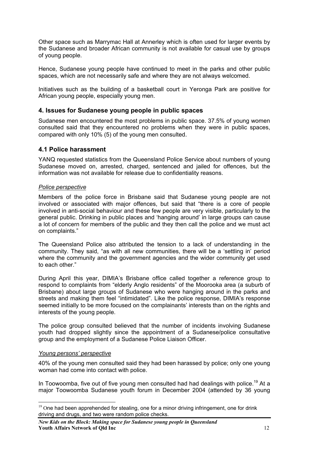<span id="page-11-0"></span>Other space such as Marrymac Hall at Annerley which is often used for larger events by the Sudanese and broader African community is not available for casual use by groups of young people.

Hence, Sudanese young people have continued to meet in the parks and other public spaces, which are not necessarily safe and where they are not always welcomed.

Initiatives such as the building of a basketball court in Yeronga Park are positive for African young people, especially young men.

#### **4. Issues for Sudanese young people in public spaces**

Sudanese men encountered the most problems in public space. 37.5% of young women consulted said that they encountered no problems when they were in public spaces, compared with only 10% (5) of the young men consulted.

### **4.1 Police harassment**

YANQ requested statistics from the Queensland Police Service about numbers of young Sudanese moved on, arrested, charged, sentenced and jailed for offences, but the information was not available for release due to confidentiality reasons.

#### *Police perspective*

Members of the police force in Brisbane said that Sudanese young people are not involved or associated with major offences, but said that "there is a core of people involved in anti-social behaviour and these few people are very visible, particularly to the general public. Drinking in public places and 'hanging around' in large groups can cause a lot of concern for members of the public and they then call the police and we must act on complaints."

The Queensland Police also attributed the tension to a lack of understanding in the community. They said, "as with all new communities, there will be a 'settling in' period where the community and the government agencies and the wider community get used to each other."

During April this year, DIMIA's Brisbane office called together a reference group to respond to complaints from "elderly Anglo residents" of the Moorooka area (a suburb of Brisbane) about large groups of Sudanese who were hanging around in the parks and streets and making them feel "intimidated". Like the police response, DIMIA's response seemed initially to be more focused on the complainants' interests than on the rights and interests of the young people.

The police group consulted believed that the number of incidents involving Sudanese youth had dropped slightly since the appointment of a Sudanese/police consultative group and the employment of a Sudanese Police Liaison Officer.

#### *Young persons' perspective*

40% of the young men consulted said they had been harassed by police; only one young woman had come into contact with police.

In Toowoomba, five out of five young men consulted had had dealings with police.<sup>19</sup> At a major Toowoomba Sudanese youth forum in December 2004 (attended by 36 young

<span id="page-11-1"></span> $\overline{a}$  $19$  One had been apprehended for stealing, one for a minor driving infringement, one for drink driving and drugs, and two were random police checks.

*New Kids on the Block: Making space for Sudanese young people in Queensland*  **Youth Affairs Network of Qld Inc** 12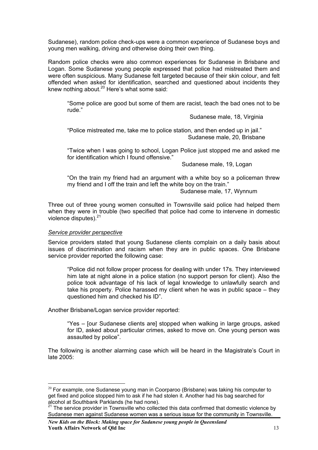<span id="page-12-0"></span>Sudanese), random police check-ups were a common experience of Sudanese boys and young men walking, driving and otherwise doing their own thing.

Random police checks were also common experiences for Sudanese in Brisbane and Logan. Some Sudanese young people expressed that police had mistreated them and were often suspicious. Many Sudanese felt targeted because of their skin colour, and felt offended when asked for identification, searched and questioned about incidents they knew nothing about.<sup>20</sup> Here's what some said:

"Some police are good but some of them are racist, teach the bad ones not to be rude."

Sudanese male, 18, Virginia

"Police mistreated me, take me to police station, and then ended up in jail." Sudanese male, 20, Brisbane

"Twice when I was going to school, Logan Police just stopped me and asked me for identification which I found offensive."

Sudanese male, 19, Logan

"On the train my friend had an argument with a white boy so a policeman threw my friend and I off the train and left the white boy on the train."

Sudanese male, 17, Wynnum

Three out of three young women consulted in Townsville said police had helped them when they were in trouble (two specified that police had come to intervene in domestic violence disputes).<sup>[21](#page-12-2)</sup>

#### *Service provider perspective*

 $\overline{a}$ 

Service providers stated that young Sudanese clients complain on a daily basis about issues of discrimination and racism when they are in public spaces. One Brisbane service provider reported the following case:

"Police did not follow proper process for dealing with under 17s. They interviewed him late at night alone in a police station (no support person for client). Also the police took advantage of his lack of legal knowledge to unlawfully search and take his property. Police harassed my client when he was in public space – they questioned him and checked his ID".

Another Brisbane/Logan service provider reported:

"Yes – [our Sudanese clients are] stopped when walking in large groups, asked for ID, asked about particular crimes, asked to move on. One young person was assaulted by police".

The following is another alarming case which will be heard in the Magistrate's Court in late 2005:

<span id="page-12-1"></span> $20$  For example, one Sudanese young man in Coorparoo (Brisbane) was taking his computer to get fixed and police stopped him to ask if he had stolen it. Another had his bag searched for alcohol at Southbank Parklands (he had none).

<span id="page-12-2"></span><sup>21</sup> The service provider in Townsville who collected this data confirmed that domestic violence by Sudanese men against Sudanese women was a serious issue for the community in Townsville.

*New Kids on the Block: Making space for Sudanese young people in Queensland*  **Youth Affairs Network of Qld Inc** 13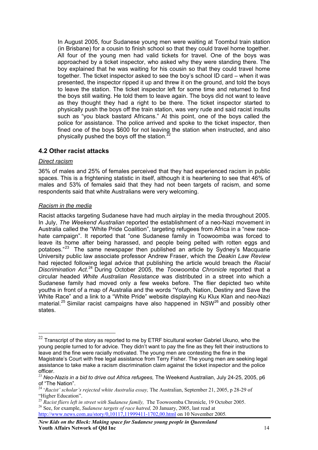<span id="page-13-0"></span>In August 2005, four Sudanese young men were waiting at Toombul train station (in Brisbane) for a cousin to finish school so that they could travel home together. All four of the young men had valid tickets for travel. One of the boys was approached by a ticket inspector, who asked why they were standing there. The boy explained that he was waiting for his cousin so that they could travel home together. The ticket inspector asked to see the boy's school ID card – when it was presented, the inspector ripped it up and threw it on the ground, and told the boys to leave the station. The ticket inspector left for some time and returned to find the boys still waiting. He told them to leave again. The boys did not want to leave as they thought they had a right to be there. The ticket inspector started to physically push the boys off the train station, was very rude and said racist insults such as "you black bastard Africans." At this point, one of the boys called the police for assistance. The police arrived and spoke to the ticket inspector, then fined one of the boys \$600 for not leaving the station when instructed, and also physically pushed the boys off the station.<sup>2</sup>

## **4.2 Other racist attacks**

#### *Direct racism*

 $\overline{a}$ 

36% of males and 25% of females perceived that they had experienced racism in public spaces. This is a frightening statistic in itself, although it is heartening to see that 46% of males and 53% of females said that they had not been targets of racism, and some respondents said that white Australians were very welcoming.

#### *Racism in the media*

Racist attacks targeting Sudanese have had much airplay in the media throughout 2005. In July, *The Weekend Australian* reported the establishment of a neo-Nazi movement in Australia called the "White Pride Coalition", targeting refugees from Africa in a "new racehate campaign". It reported that "one Sudanese family in Toowoomba was forced to leave its home after being harassed, and people being pelted with rotten eggs and potatoes."<sup>[23](#page-13-2)</sup> The same newspaper then published an article by Sydney's Macquarie University public law associate professor Andrew Fraser, which the *Deakin Law Review*  had rejected following legal advice that publishing the article would breach the *Racial Discrimination Act*. [24](#page-13-3) During October 2005, the *Toowoomba Chronicle* reported that a circular headed *White Australian Resistance* was distributed in a street into which a Sudanese family had moved only a few weeks before. The flier depicted two white youths in front of a map of Australia and the words "Youth, Nation, Destiny and Save the White Race" and a link to a "White Pride" website displaying Ku Klux Klan and neo-Nazi material.<sup>[25](#page-13-4)</sup> Similar racist campaigns have also happened in NSW<sup>[26](#page-13-5)</sup> and possibly other states.

*New Kids on the Block: Making space for Sudanese young people in Queensland*  **Youth Affairs Network of Old Inc.** 14

<span id="page-13-1"></span> $^{22}$  Transcript of the story as reported to me by ETRF bicultural worker Gabriel Ukuno, who the young people turned to for advice. They didn't want to pay the fine as they felt their instructions to leave and the fine were racially motivated. The young men are contesting the fine in the Magistrate's Court with free legal assistance from Terry Fisher. The young men are seeking legal assistance to take make a racism discrimination claim against the ticket inspector and the police

<span id="page-13-2"></span>officer.<br><sup>23</sup> *Neo-Nazis in a bid to drive out Africa refugees,* The Weekend Australian, July 24-25, 2005, p6<br>of "The Nation".

<span id="page-13-3"></span><sup>&</sup>lt;sup>24</sup> '*Racist' scholar's rejected white Australia essay*, The Australian, September 21, 2005, p 28-29 of "Higher Education".

<span id="page-13-4"></span><sup>&</sup>lt;sup>25</sup> *Racist fliers left in street with Sudanese family, The Toowoomba Chronicle, 19 October 2005.* 26 See, for example, *Sudanese targets of race hatred,* 20 January, 2005, last read at

<span id="page-13-5"></span><http://www.news.com.au/story/0,10117,11999411-1702,00.html> on 10 November 2005*.*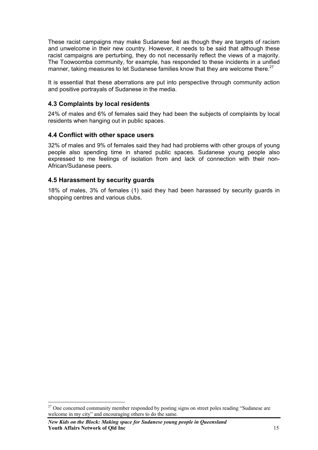<span id="page-14-0"></span>These racist campaigns may make Sudanese feel as though they are targets of racism and unwelcome in their new country. However, it needs to be said that although these racist campaigns are perturbing, they do not necessarily reflect the views of a majority. The Toowoomba community, for example, has responded to these incidents in a unified manner, taking measures to let Sudanese families know that they are welcome there.<sup>27</sup>

It is essential that these aberrations are put into perspective through community action and positive portrayals of Sudanese in the media.

## **4.3 Complaints by local residents**

24% of males and 6% of females said they had been the subjects of complaints by local residents when hanging out in public spaces.

#### **4.4 Conflict with other space users**

32% of males and 9% of females said they had had problems with other groups of young people also spending time in shared public spaces. Sudanese young people also expressed to me feelings of isolation from and lack of connection with their non-African/Sudanese peers.

#### **4.5 Harassment by security guards**

18% of males, 3% of females (1) said they had been harassed by security guards in shopping centres and various clubs.

 $\overline{a}$ 

<span id="page-14-1"></span> $27$  One concerned community member responded by posting signs on street poles reading "Sudanese are welcome in my city" and encouraging others to do the same.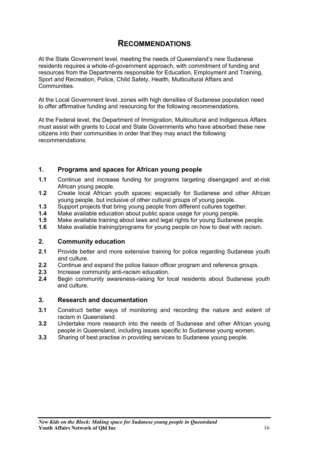# **RECOMMENDATIONS**

<span id="page-15-0"></span>At the State Government level, meeting the needs of Queensland's new Sudanese residents requires a whole-of-government approach, with commitment of funding and resources from the Departments responsible for Education, Employment and Training, Sport and Recreation, Police, Child Safety, Health, Multicultural Affairs and **Communities** 

At the Local Government level, zones with high densities of Sudanese population need to offer affirmative funding and resourcing for the following recommendations.

At the Federal level, the Department of Immigration, Multicultural and Indigenous Affairs must assist with grants to Local and State Governments who have absorbed these new citizens into their communities in order that they may enact the following recommendations.

## **1. Programs and spaces for African young people**

- **1.1** Continue and increase funding for programs targeting disengaged and at-risk African young people.
- **1.2** Create local African youth spaces: especially for Sudanese and other African young people, but inclusive of other cultural groups of young people.
- **1.3** Support projects that bring young people from different cultures together.
- **1.4** Make available education about public space usage for young people.
- **1.5** Make available training about laws and legal rights for young Sudanese people.
- **1.6** Make available training/programs for young people on how to deal with racism.

#### **2. Community education**

- **2.1** Provide better and more extensive training for police regarding Sudanese youth and culture.
- **2.2** Continue and expand the police liaison officer program and reference groups.
- **2.3** Increase community anti-racism education.
- **2.4** Begin community awareness-raising for local residents about Sudanese youth and culture.

#### **3. Research and documentation**

- **3.1** Construct better ways of monitoring and recording the nature and extent of racism in Queensland.
- **3.2** Undertake more research into the needs of Sudanese and other African young people in Queensland, including issues specific to Sudanese young women.
- **3.3** Sharing of best practise in providing services to Sudanese young people.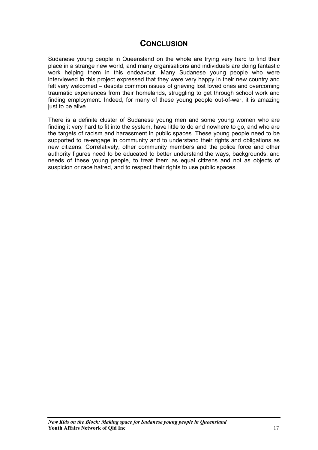# **CONCLUSION**

<span id="page-16-0"></span>Sudanese young people in Queensland on the whole are trying very hard to find their place in a strange new world, and many organisations and individuals are doing fantastic work helping them in this endeavour. Many Sudanese young people who were interviewed in this project expressed that they were very happy in their new country and felt very welcomed – despite common issues of grieving lost loved ones and overcoming traumatic experiences from their homelands, struggling to get through school work and finding employment. Indeed, for many of these young people out-of-war, it is amazing just to be alive.

There is a definite cluster of Sudanese young men and some young women who are finding it very hard to fit into the system, have little to do and nowhere to go, and who are the targets of racism and harassment in public spaces. These young people need to be supported to re-engage in community and to understand their rights and obligations as new citizens. Correlatively, other community members and the police force and other authority figures need to be educated to better understand the ways, backgrounds, and needs of these young people, to treat them as equal citizens and not as objects of suspicion or race hatred, and to respect their rights to use public spaces.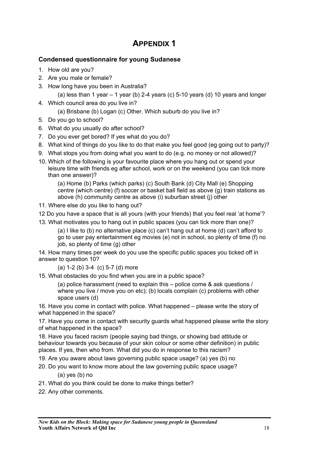# **APPENDIX 1**

## <span id="page-17-0"></span>**Condensed questionnaire for young Sudanese**

- 1. How old are you?
- 2. Are you male or female?
- 3. How long have you been in Australia?

```
(a) less than 1 year - 1 year (b) 2-4 years (c) 5-10 years (d) 10 years and longer
```
- 4. Which council area do you live in?
	- (a) Brisbane (b) Logan (c) Other. Which suburb do you live in?
- 5. Do you go to school?
- 6. What do you usually do after school?
- 7. Do you ever get bored? If yes what do you do?
- 8. What kind of things do you like to do that make you feel good (eg going out to party)?
- 9. What stops you from doing what you want to do (e.g. no money or not allowed)?
- 10. Which of the following is your favourite place where you hang out or spend your leisure time with friends eg after school, work or on the weekend (you can tick more than one answer)?

(a) Home (b) Parks (which parks) (c) South Bank (d) City Mall (e) Shopping centre (which centre) (f) soccer or basket ball field as above (g) train stations as above (h) community centre as above (i) suburban street (j) other

- 11. Where else do you like to hang out?
- 12 Do you have a space that is all yours (with your friends) that you feel real 'at home'?
- 13. What motivates you to hang out in public spaces (you can tick more than one)?

(a) I like to (b) no alternative place (c) can't hang out at home (d) can't afford to go to user pay entertainment eg movies (e) not in school, so plenty of time (f) no job, so plenty of time (g) other

14. How many times per week do you use the specific public spaces you ticked off in answer to question 10?

(a) 1-2 (b) 3-4 (c) 5-7 (d) more

15. What obstacles do you find when you are in a public space?

(a) police harassment (need to explain this – police come & ask questions / where you live / move you on etc); (b) locals complain (c) problems with other space users (d)

16. Have you come in contact with police. What happened – please write the story of what happened in the space?

17. Have you come in contact with security guards what happened please write the story of what happened in the space?

18. Have you faced racism (people saying bad things, or showing bad attitude or behaviour towards you because of your skin colour or some other definition) in public places. If yes, then who from. What did you do in response to this racism?

- 19. Are you aware about laws governing public space usage? (a) yes (b) no
- 20. Do you want to know more about the law governing public space usage?

(a) yes (b) no

- 21. What do you think could be done to make things better?
- 22. Any other comments.